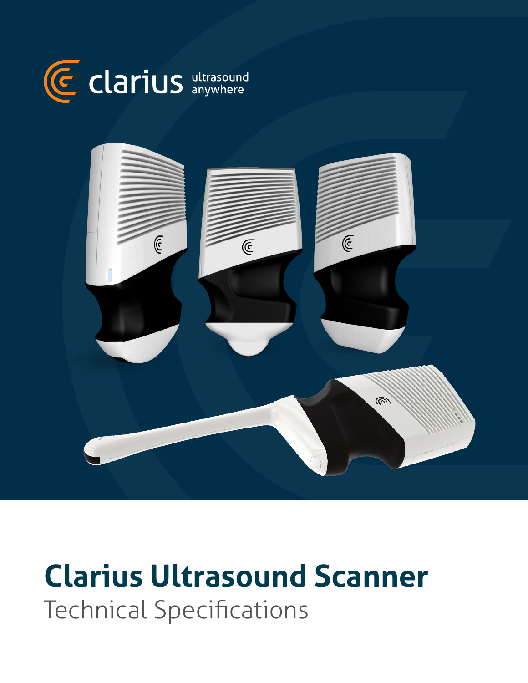



# **Clarius Ultrasound Scanner** Technical Specifications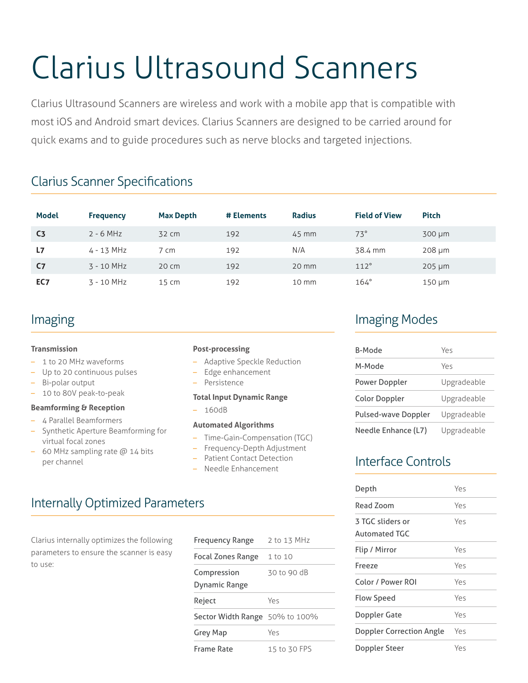# Clarius Ultrasound Scanners

Clarius Ultrasound Scanners are wireless and work with a mobile app that is compatible with most iOS and Android smart devices. Clarius Scanners are designed to be carried around for quick exams and to guide procedures such as nerve blocks and targeted injections.

# Clarius Scanner Specifications

| <b>Model</b>   | <b>Frequency</b> | <b>Max Depth</b>  | # Elements | <b>Radius</b>   | <b>Field of View</b> | <b>Pitch</b> |
|----------------|------------------|-------------------|------------|-----------------|----------------------|--------------|
| C <sub>3</sub> | $2 - 6$ MHz      | 32 cm             | 192        | 45 mm           | $73^\circ$           | $300 \mu m$  |
| L <sub>7</sub> | $4 - 13$ MHz     | 7 cm              | 192        | N/A             | 38.4 mm              | 208 µm       |
| C7             | $3 - 10$ MHz     | $20 \, \text{cm}$ | 192        | 20 mm           | 112°                 | $205 \mu m$  |
| EC7            | $3 - 10$ MHz     | $15 \text{ cm}$   | 192        | $10 \text{ mm}$ | $164^\circ$          | $150 \mu m$  |

# Imaging

#### **Transmission**

- 1 to 20 MHz waveforms
- Up to 20 continuous pulses
- Bi-polar output
- 10 to 80V peak-to-peak

#### **Beamforming & Reception**

- 4 Parallel Beamformers
- Synthetic Aperture Beamforming for virtual focal zones
- $-$  60 MHz sampling rate  $@$  14 bits per channel

#### **Post-processing**

- Adaptive Speckle Reduction
- Edge enhancement
- Persistence
- **Total Input Dynamic Range**
- 160dB

#### **Automated Algorithms**

- Time-Gain-Compensation (TGC)
- Frequency-Depth Adjustment
- Patient Contact Detection
- Needle Enhancement

# Internally Optimized Parameters

Clarius internally optimizes the following parameters to ensure the scanner is easy to use:

| <b>Frequency Range</b>         | 2 to 13 MHz  |
|--------------------------------|--------------|
| Focal Zones Range              | 1 to 10      |
| Compression<br>Dynamic Range   | 30 to 90 dB  |
| Reject                         | Yes          |
| Sector Width Range 50% to 100% |              |
| Grey Map                       | Yes          |
| <b>Frame Rate</b>              | 15 to 30 FPS |

# Imaging Modes

| <b>B-Mode</b>        | Yes         |
|----------------------|-------------|
| M-Mode               | Yes         |
| Power Doppler        | Upgradeable |
| <b>Color Doppler</b> | Upgradeable |
| Pulsed-wave Doppler  | Upgradeable |
| Needle Enhance (L7)  | Upgradeable |

# Interface Controls

| Depth                             | Yes |
|-----------------------------------|-----|
| Read Zoom                         | Yes |
| 3 TGC sliders or<br>Automated TGC | Yes |
| Flip / Mirror                     | Yes |
| Freeze                            | Yes |
| Color / Power ROI                 | Yes |
| Flow Speed                        | Yes |
| Doppler Gate                      | Yes |
| <b>Doppler Correction Angle</b>   | Yes |
| Doppler Steer                     | Yes |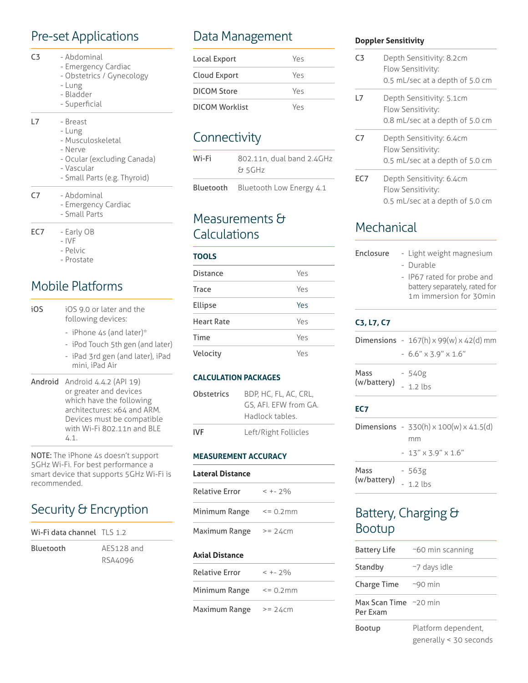# Pre-set Applications

- C3 Abdominal
	- Emergency Cardiac
	- Obstetrics / Gynecology
	- Lung
	- Bladder
	- Superficial

#### L7 - Breast

- Lung
- Musculoskeletal
- Nerve
- Ocular (excluding Canada)
- Vascular
- Small Parts (e.g. Thyroid)
- C7 Abdominal
	- Emergency Cardiac
	- Small Parts
- EC7 Early OB
	- IVF
	- Pelvic
	- Prostate

## Mobile Platforms

- iOS iOS 9.0 or later and the following devices:
	- iPhone 4s (and later)\*
	- iPod Touch 5th gen (and later)
	- iPad 3rd gen (and later), iPad mini, iPad Air
- Android Android 4.4.2 (API 19) or greater and devices which have the following architectures: x64 and ARM. Devices must be compatible with Wi-Fi 802.11n and BLE 4.1.

NOTE: The iPhone 4s doesn't support 5GHz Wi-Fi. For best performance a smart device that supports 5GHz Wi-Fi is recommended.

# Security & Encryption

| Wi-Fi data channel TLS 1.2 |            |
|----------------------------|------------|
| <b>Bluetooth</b>           | AFS128 and |
|                            | RSA4096    |

# Data Management

| Local Export   | Yes |
|----------------|-----|
| Cloud Export   | Yρς |
| DICOM Store    | Yρς |
| DICOM Worklist | Yρς |

# **Connectivity**

| Wi-Fi     | 802.11n, dual band 2.4GHz<br>& 5GHz |
|-----------|-------------------------------------|
| Bluetooth | Bluetooth Low Energy 4.1            |

### Measurements & Calculations

#### **TOOLS**

| <b>Distance</b>   | Yes |
|-------------------|-----|
| Trace             | Yes |
| Ellipse           | Yes |
| <b>Heart Rate</b> | Yes |
| Time              | Yes |
| Velocity          | Yρς |

#### **CALCULATION PACKAGES**

| Obstetrics | BDP, HC, FL, AC, CRL,<br>GS. AFI. EFW from GA.<br>Hadlock tables |
|------------|------------------------------------------------------------------|
| IVF        | Left/Right Follicles                                             |

#### **MEASUREMENT ACCURACY**

#### **Lateral Distance**

| $< + - 2\%$ |
|-------------|
| $= 0.2$ mm  |
| $>= 24cm$   |
|             |

#### **Axial Distance**

| <b>Relative Error</b> | $< + - 2\%$ |
|-----------------------|-------------|
| Minimum Range         | $= 0.2$ mm  |
| Maximum Range         | $>= 24cm$   |

#### **Doppler Sensitivity**

| ٢3  | Depth Sensitivity: 8.2cm<br>Flow Sensitivity:<br>0.5 mL/sec at a depth of 5.0 cm |
|-----|----------------------------------------------------------------------------------|
| L7  | Depth Sensitivity: 5.1cm<br>Flow Sensitivity:<br>0.8 mL/sec at a depth of 5.0 cm |
| C7  | Depth Sensitivity: 6.4cm<br>Flow Sensitivity:<br>0.5 mL/sec at a depth of 5.0 cm |
| EC7 | Depth Sensitivity: 6.4cm<br>Flow Sensitivity:<br>0.5 mL/sec at a depth of 5.0 cm |

### **Mechanical**

| Enclosure           | - Light weight magnesium                                                              |
|---------------------|---------------------------------------------------------------------------------------|
|                     | - Durable                                                                             |
|                     | - IP67 rated for probe and<br>battery separately, rated for<br>1m immersion for 30min |
| $C_3, L_7, C_7$     |                                                                                       |
|                     | <b>Dimensions</b> - $167(h) \times 99(w) \times 42(d)$ mm                             |
|                     | $-6.6'' \times 3.9'' \times 1.6''$                                                    |
| Mass<br>(w/battery) | - 540g                                                                                |
|                     | $-1.2$ lbs                                                                            |
| EC7                 |                                                                                       |

(w/battery)

|      | <b>Dimensions</b> - $330(h) \times 100(w) \times 41.5(d)$ |
|------|-----------------------------------------------------------|
|      | mm                                                        |
|      | $-13''$ x 3.9" x 1.6"                                     |
| Mass | - 563g                                                    |

# Battery, Charging & Bootup

- 1.2 lbs

| <b>Battery Life</b>               | $~\sim$ 60 min scanning                            |
|-----------------------------------|----------------------------------------------------|
| Standby                           | $\sim$ 7 days idle                                 |
| <b>Charge Time</b>                | $-90$ min                                          |
| Max Scan Time ~20 min<br>Per Exam |                                                    |
| Bootup                            | Platform dependent,<br>generally $\leq$ 30 seconds |